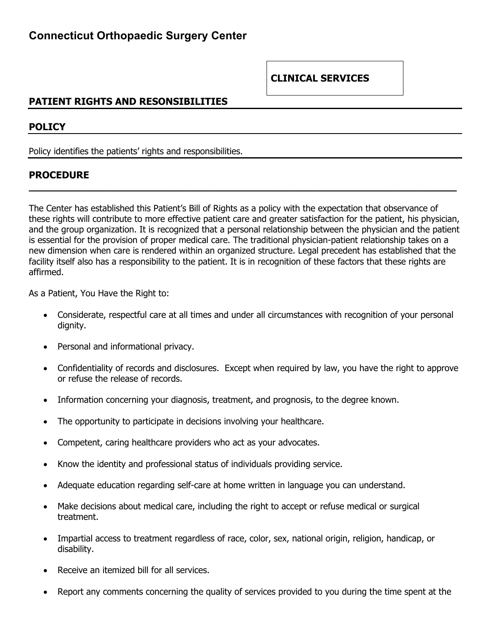### **PATIENT RIGHTS AND RESONSIBILITIES**

#### **POLICY**

Policy identifies the patients' rights and responsibilities.

#### **PROCEDURE**

The Center has established this Patient's Bill of Rights as a policy with the expectation that observance of these rights will contribute to more effective patient care and greater satisfaction for the patient, his physician, and the group organization. It is recognized that a personal relationship between the physician and the patient is essential for the provision of proper medical care. The traditional physician-patient relationship takes on a new dimension when care is rendered within an organized structure. Legal precedent has established that the facility itself also has a responsibility to the patient. It is in recognition of these factors that these rights are affirmed.

**\_\_\_\_\_\_\_\_\_\_\_\_\_\_\_\_\_\_\_\_\_\_\_\_\_\_\_\_\_\_\_\_\_\_\_\_\_\_\_\_\_\_\_\_\_\_\_\_\_\_\_\_\_\_\_\_\_\_\_\_\_\_\_\_\_\_\_\_\_\_**

As a Patient, You Have the Right to:

- Considerate, respectful care at all times and under all circumstances with recognition of your personal dignity.
- Personal and informational privacy.
- Confidentiality of records and disclosures. Except when required by law, you have the right to approve or refuse the release of records.
- Information concerning your diagnosis, treatment, and prognosis, to the degree known.
- The opportunity to participate in decisions involving your healthcare.
- Competent, caring healthcare providers who act as your advocates.
- Know the identity and professional status of individuals providing service.
- Adequate education regarding self-care at home written in language you can understand.
- Make decisions about medical care, including the right to accept or refuse medical or surgical treatment.
- Impartial access to treatment regardless of race, color, sex, national origin, religion, handicap, or disability.
- Receive an itemized bill for all services.
- Report any comments concerning the quality of services provided to you during the time spent at the

### **CLINICAL SERVICES**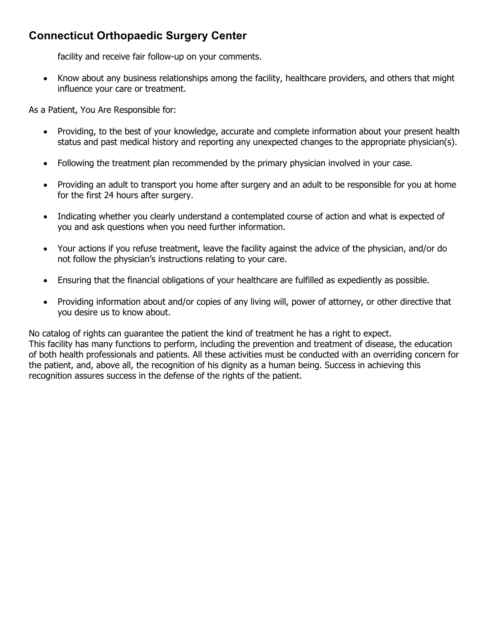## **Connecticut Orthopaedic Surgery Center**

facility and receive fair follow-up on your comments.

• Know about any business relationships among the facility, healthcare providers, and others that might influence your care or treatment.

As a Patient, You Are Responsible for:

- Providing, to the best of your knowledge, accurate and complete information about your present health status and past medical history and reporting any unexpected changes to the appropriate physician(s).
- Following the treatment plan recommended by the primary physician involved in your case.
- Providing an adult to transport you home after surgery and an adult to be responsible for you at home for the first 24 hours after surgery.
- Indicating whether you clearly understand a contemplated course of action and what is expected of you and ask questions when you need further information.
- Your actions if you refuse treatment, leave the facility against the advice of the physician, and/or do not follow the physician's instructions relating to your care.
- Ensuring that the financial obligations of your healthcare are fulfilled as expediently as possible.
- Providing information about and/or copies of any living will, power of attorney, or other directive that you desire us to know about.

No catalog of rights can guarantee the patient the kind of treatment he has a right to expect. This facility has many functions to perform, including the prevention and treatment of disease, the education of both health professionals and patients. All these activities must be conducted with an overriding concern for the patient, and, above all, the recognition of his dignity as a human being. Success in achieving this recognition assures success in the defense of the rights of the patient.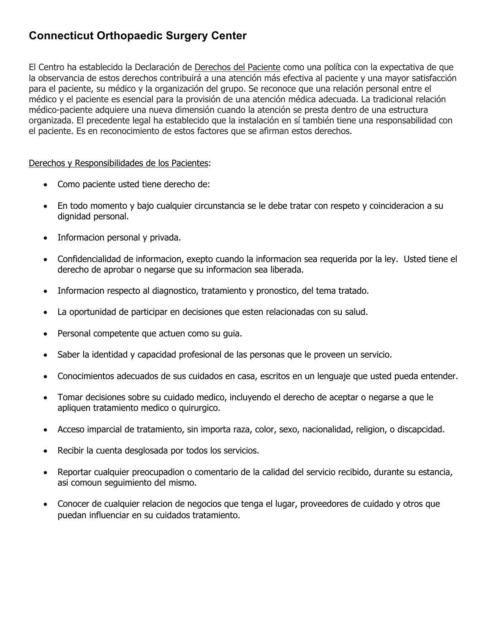# **Connecticut Orthopaedic Surgery Center**

El Centro ha establecido la Declaración de Derechos del Paciente como una política con la expectativa de que la observancia de estos derechos contribuirá a una atención más efectiva al paciente y una mayor satisfacción para el paciente, su médico y la organización del grupo. Se reconoce que una relación personal entre el médico y el paciente es esencial para la provisión de una atención médica adecuada. La tradicional relación médico-paciente adquiere una nueva dimensión cuando la atención se presta dentro de una estructura organizada. El precedente legal ha establecido que la instalación en sí también tiene una responsabilidad con el paciente. Es en reconocimiento de estos factores que se afirman estos derechos.

#### Derechos y Responsibilidades de los Pacientes:

- Como paciente usted tiene derecho de:
- En todo momento y bajo cualquier circunstancia se le debe tratar con respeto y coincideracion a su dignidad personal.
- Informacion personal y privada.
- Confidencialidad de informacion, exepto cuando la informacion sea requerida por la ley. Usted tiene el derecho de aprobar o negarse que su informacion sea liberada.
- Informacion respecto al diagnostico, tratamiento y pronostico, del tema tratado.
- La oportunidad de participar en decisiones que esten relacionadas con su salud.
- Personal competente que actuen como su guia.
- Saber la identidad y capacidad profesional de las personas que le proveen un servicio.
- Conocimientos adecuados de sus cuidados en casa, escritos en un lenguaje que usted pueda entender.
- Tomar decisiones sobre su cuidado medico, incluyendo el derecho de aceptar o negarse a que le apliquen tratamiento medico o quirurgico.
- Acceso imparcial de tratamiento, sin importa raza, color, sexo, nacionalidad, religion, o discapcidad.
- Recibir la cuenta desglosada por todos los servicios.
- Reportar cualquier preocupadion o comentario de la calidad del servicio recibido, durante su estancia, asi comoun seguimiento del mismo.
- Conocer de cualquier relacion de negocios que tenga el lugar, proveedores de cuidado y otros que puedan influenciar en su cuidados tratamiento.